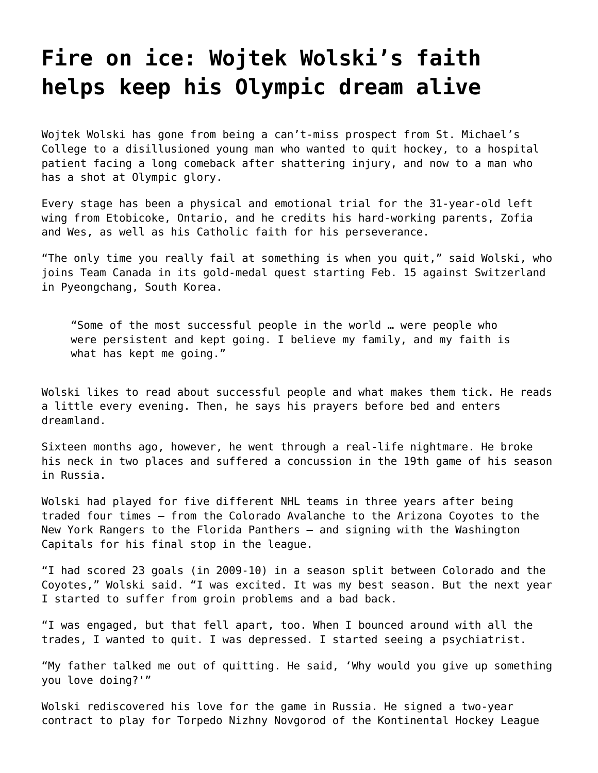## **[Fire on ice: Wojtek Wolski's faith](https://grandinmedia.ca/faith-helps-keep-olympic-dream-alive/) [helps keep his Olympic dream alive](https://grandinmedia.ca/faith-helps-keep-olympic-dream-alive/)**

Wojtek Wolski has gone from being a can't-miss prospect from St. Michael's College to a disillusioned young man who wanted to quit hockey, to a hospital patient facing a long comeback after shattering injury, and now to a man who has a shot at Olympic glory.

Every stage has been a physical and emotional trial for the 31-year-old left wing from Etobicoke, Ontario, and he credits his hard-working parents, Zofia and Wes, as well as his Catholic faith for his perseverance.

"The only time you really fail at something is when you quit," said Wolski, who joins Team Canada in its gold-medal quest starting Feb. 15 against Switzerland in Pyeongchang, South Korea.

"Some of the most successful people in the world … were people who were persistent and kept going. I believe my family, and my faith is what has kept me going."

Wolski likes to read about successful people and what makes them tick. He reads a little every evening. Then, he says his prayers before bed and enters dreamland.

Sixteen months ago, however, he went through a real-life nightmare. He broke his neck in two places and suffered a concussion in the 19th game of his season in Russia.

Wolski had played for five different NHL teams in three years after being traded four times — from the Colorado Avalanche to the Arizona Coyotes to the New York Rangers to the Florida Panthers — and signing with the Washington Capitals for his final stop in the league.

"I had scored 23 goals (in 2009-10) in a season split between Colorado and the Coyotes," Wolski said. "I was excited. It was my best season. But the next year I started to suffer from groin problems and a bad back.

"I was engaged, but that fell apart, too. When I bounced around with all the trades, I wanted to quit. I was depressed. I started seeing a psychiatrist.

"My father talked me out of quitting. He said, 'Why would you give up something you love doing?'"

Wolski rediscovered his love for the game in Russia. He signed a two-year contract to play for Torpedo Nizhny Novgorod of the Kontinental Hockey League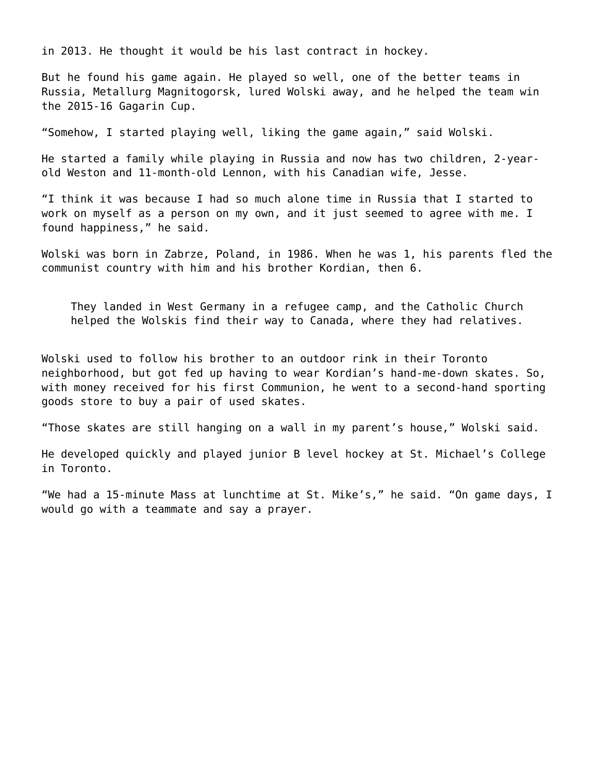in 2013. He thought it would be his last contract in hockey.

But he found his game again. He played so well, one of the better teams in Russia, Metallurg Magnitogorsk, lured Wolski away, and he helped the team win the 2015-16 Gagarin Cup.

"Somehow, I started playing well, liking the game again," said Wolski.

He started a family while playing in Russia and now has two children, 2-yearold Weston and 11-month-old Lennon, with his Canadian wife, Jesse.

"I think it was because I had so much alone time in Russia that I started to work on myself as a person on my own, and it just seemed to agree with me. I found happiness," he said.

Wolski was born in Zabrze, Poland, in 1986. When he was 1, his parents fled the communist country with him and his brother Kordian, then 6.

They landed in West Germany in a refugee camp, and the Catholic Church helped the Wolskis find their way to Canada, where they had relatives.

Wolski used to follow his brother to an outdoor rink in their Toronto neighborhood, but got fed up having to wear Kordian's hand-me-down skates. So, with money received for his first Communion, he went to a second-hand sporting goods store to buy a pair of used skates.

"Those skates are still hanging on a wall in my parent's house," Wolski said.

He developed quickly and played junior B level hockey at St. Michael's College in Toronto.

"We had a 15-minute Mass at lunchtime at St. Mike's," he said. "On game days, I would go with a teammate and say a prayer.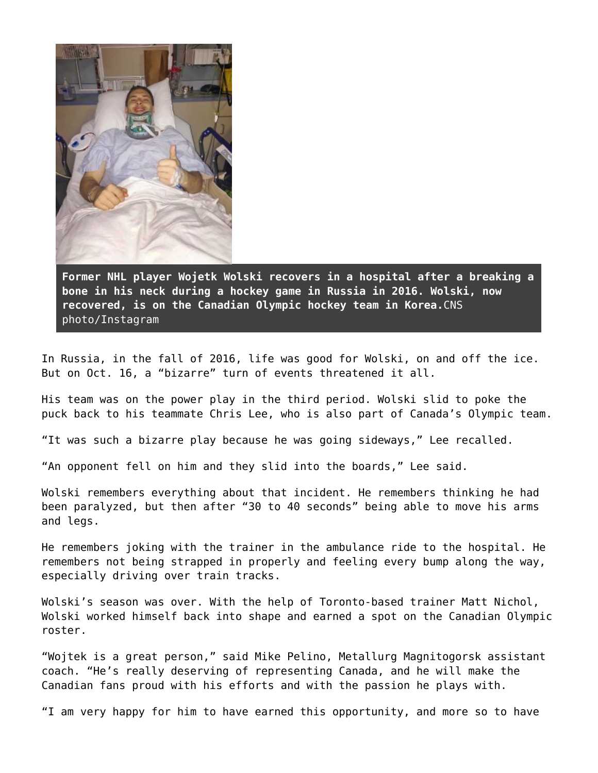

**Former NHL player Wojetk Wolski recovers in a hospital after a breaking a bone in his neck during a hockey game in Russia in 2016. Wolski, now recovered, is on the Canadian Olympic hockey team in Korea.**CNS photo/Instagram

In Russia, in the fall of 2016, life was good for Wolski, on and off the ice. But on Oct. 16, a "bizarre" turn of events threatened it all.

His team was on the power play in the third period. Wolski slid to poke the puck back to his teammate Chris Lee, who is also part of Canada's Olympic team.

"It was such a bizarre play because he was going sideways," Lee recalled.

"An opponent fell on him and they slid into the boards," Lee said.

Wolski remembers everything about that incident. He remembers thinking he had been paralyzed, but then after "30 to 40 seconds" being able to move his arms and legs.

He remembers joking with the trainer in the ambulance ride to the hospital. He remembers not being strapped in properly and feeling every bump along the way, especially driving over train tracks.

Wolski's season was over. With the help of Toronto-based trainer Matt Nichol, Wolski worked himself back into shape and earned a spot on the Canadian Olympic roster.

"Wojtek is a great person," said Mike Pelino, Metallurg Magnitogorsk assistant coach. "He's really deserving of representing Canada, and he will make the Canadian fans proud with his efforts and with the passion he plays with.

"I am very happy for him to have earned this opportunity, and more so to have